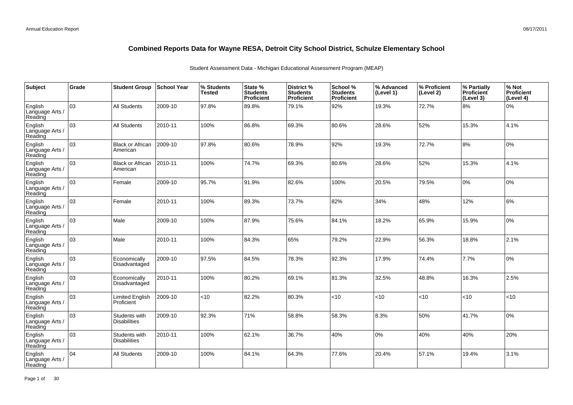| Subject                               | Grade | <b>Student Group</b>                 | ∣School Year | % Students<br><b>Tested</b> | State %<br><b>Students</b><br>Proficient | District %<br><b>Students</b><br>Proficient | School %<br><b>Students</b><br><b>Proficient</b> | % Advanced<br>(Level 1) | % Proficient<br>(Level 2) | % Partially<br>Proficient<br>(Level 3) | % Not<br>Proficient<br>(Level 4) |
|---------------------------------------|-------|--------------------------------------|--------------|-----------------------------|------------------------------------------|---------------------------------------------|--------------------------------------------------|-------------------------|---------------------------|----------------------------------------|----------------------------------|
| English<br>Language Arts /<br>Reading | 03    | All Students                         | 2009-10      | 97.8%                       | 89.8%                                    | 79.1%                                       | 92%                                              | 19.3%                   | 72.7%                     | 8%                                     | 0%                               |
| English<br>Language Arts /<br>Reading | 03    | <b>All Students</b>                  | 2010-11      | 100%                        | 86.8%                                    | 69.3%                                       | 80.6%                                            | 28.6%                   | 52%                       | 15.3%                                  | 4.1%                             |
| English<br>Language Arts /<br>Reading | 03    | <b>Black or African</b><br>American  | 2009-10      | 97.8%                       | 80.6%                                    | 78.9%                                       | 92%                                              | 19.3%                   | 72.7%                     | 8%                                     | 0%                               |
| English<br>Language Arts /<br>Reading | 03    | <b>Black or African</b><br>American  | 2010-11      | 100%                        | 74.7%                                    | 69.3%                                       | 80.6%                                            | 28.6%                   | 52%                       | 15.3%                                  | 4.1%                             |
| English<br>Language Arts /<br>Reading | 03    | Female                               | 2009-10      | 95.7%                       | 91.9%                                    | 82.6%                                       | 100%                                             | 20.5%                   | 79.5%                     | 0%                                     | 0%                               |
| English<br>Language Arts /<br>Reading | 03    | Female                               | 2010-11      | 100%                        | 89.3%                                    | 73.7%                                       | 82%                                              | 34%                     | 48%                       | 12%                                    | 6%                               |
| English<br>Language Arts /<br>Reading | 03    | Male                                 | 2009-10      | 100%                        | 87.9%                                    | 75.6%                                       | 84.1%                                            | 18.2%                   | 65.9%                     | 15.9%                                  | 0%                               |
| English<br>Language Arts<br>Reading   | 03    | Male                                 | 2010-11      | 100%                        | 84.3%                                    | 65%                                         | 79.2%                                            | 22.9%                   | 56.3%                     | 18.8%                                  | 2.1%                             |
| English<br>Language Arts<br>Reading   | 03    | Economically<br>Disadvantaged        | 2009-10      | 97.5%                       | 84.5%                                    | 78.3%                                       | 92.3%                                            | 17.9%                   | 74.4%                     | 7.7%                                   | 0%                               |
| English<br>Language Arts<br>Reading   | 03    | Economically<br>Disadvantaged        | 2010-11      | 100%                        | 80.2%                                    | 69.1%                                       | 81.3%                                            | 32.5%                   | 48.8%                     | 16.3%                                  | 2.5%                             |
| English<br>Language Arts<br>Reading   | 03    | <b>Limited English</b><br>Proficient | 2009-10      | $<$ 10                      | 82.2%                                    | 80.3%                                       | <10                                              | <10                     | <10                       | < 10                                   | <10                              |
| English<br>Language Arts<br>Reading   | 03    | Students with<br><b>Disabilities</b> | 2009-10      | 92.3%                       | 71%                                      | 58.8%                                       | 58.3%                                            | 8.3%                    | 50%                       | 41.7%                                  | 0%                               |
| English<br>Language Arts<br>Reading   | 03    | Students with<br><b>Disabilities</b> | 2010-11      | 100%                        | 62.1%                                    | 36.7%                                       | 40%                                              | $0\%$                   | 40%                       | 40%                                    | 20%                              |
| English<br>Language Arts<br>Reading   | 04    | <b>All Students</b>                  | 2009-10      | 100%                        | 84.1%                                    | 64.3%                                       | 77.6%                                            | 20.4%                   | 57.1%                     | 19.4%                                  | 3.1%                             |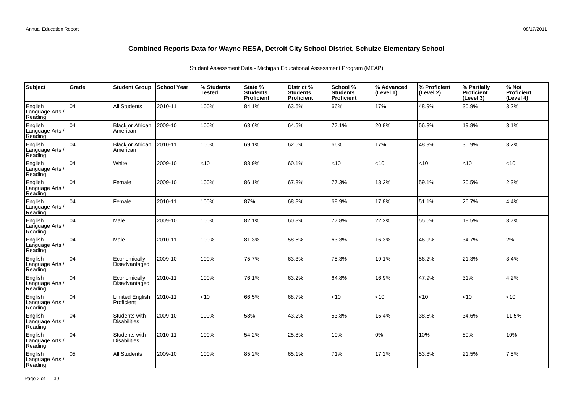| Subject                               | Grade | <b>Student Group</b>                 | School Year | % Students<br><b>Tested</b> | State %<br><b>Students</b><br>Proficient | District %<br><b>Students</b><br>Proficient | School %<br><b>Students</b><br><b>Proficient</b> | % Advanced<br>(Level 1) | % Proficient<br>(Level 2) | % Partially<br>Proficient<br>(Level 3) | % Not<br>Proficient<br>(Level 4) |
|---------------------------------------|-------|--------------------------------------|-------------|-----------------------------|------------------------------------------|---------------------------------------------|--------------------------------------------------|-------------------------|---------------------------|----------------------------------------|----------------------------------|
| English<br>Language Arts /<br>Reading | 04    | <b>All Students</b>                  | 2010-11     | 100%                        | 84.1%                                    | 63.6%                                       | 66%                                              | 17%                     | 48.9%                     | 30.9%                                  | 3.2%                             |
| English<br>Language Arts /<br>Reading | 04    | <b>Black or African</b><br>American  | 2009-10     | 100%                        | 68.6%                                    | 64.5%                                       | 77.1%                                            | 20.8%                   | 56.3%                     | 19.8%                                  | 3.1%                             |
| English<br>Language Arts /<br>Reading | 04    | <b>Black or African</b><br>American  | 2010-11     | 100%                        | 69.1%                                    | 62.6%                                       | 66%                                              | 17%                     | 48.9%                     | 30.9%                                  | 3.2%                             |
| English<br>Language Arts /<br>Reading | 04    | White                                | 2009-10     | <10                         | 88.9%                                    | 60.1%                                       | <10                                              | <10                     | $10^{-1}$                 | <10                                    | <10                              |
| English<br>Language Arts /<br>Reading | 04    | Female                               | 2009-10     | 100%                        | 86.1%                                    | 67.8%                                       | 77.3%                                            | 18.2%                   | 59.1%                     | 20.5%                                  | 2.3%                             |
| English<br>Language Arts<br>Reading   | 04    | Female                               | 2010-11     | 100%                        | 87%                                      | 68.8%                                       | 68.9%                                            | 17.8%                   | 51.1%                     | 26.7%                                  | 4.4%                             |
| English<br>Language Arts /<br>Reading | 04    | Male                                 | 2009-10     | 100%                        | 82.1%                                    | 60.8%                                       | 77.8%                                            | 22.2%                   | 55.6%                     | 18.5%                                  | 3.7%                             |
| English<br>Language Arts<br>Reading   | 04    | Male                                 | 2010-11     | 100%                        | 81.3%                                    | 58.6%                                       | 63.3%                                            | 16.3%                   | 46.9%                     | 34.7%                                  | 2%                               |
| English<br>Language Arts<br>Reading   | 04    | Economically<br>Disadvantaged        | 2009-10     | 100%                        | 75.7%                                    | 63.3%                                       | 75.3%                                            | 19.1%                   | 56.2%                     | 21.3%                                  | 3.4%                             |
| English<br>Language Arts<br>Reading   | 04    | Economically<br>Disadvantaged        | 2010-11     | 100%                        | 76.1%                                    | 63.2%                                       | 64.8%                                            | 16.9%                   | 47.9%                     | 31%                                    | 4.2%                             |
| English<br>Language Arts<br>Reading   | 04    | <b>Limited English</b><br>Proficient | 2010-11     | $<$ 10                      | 66.5%                                    | 68.7%                                       | < 10                                             | <10                     | < 10                      | $ $ < 10                               | $<$ 10                           |
| English<br>Language Arts<br>Reading   | 04    | Students with<br><b>Disabilities</b> | 2009-10     | 100%                        | 58%                                      | 43.2%                                       | 53.8%                                            | 15.4%                   | 38.5%                     | 34.6%                                  | 11.5%                            |
| English<br>Language Arts<br>Reading   | 04    | Students with<br><b>Disabilities</b> | 2010-11     | 100%                        | 54.2%                                    | 25.8%                                       | 10%                                              | 0%                      | 10%                       | 80%                                    | 10%                              |
| English<br>Language Arts<br>Reading   | 05    | <b>All Students</b>                  | 2009-10     | 100%                        | 85.2%                                    | 65.1%                                       | 71%                                              | 17.2%                   | 53.8%                     | 21.5%                                  | 7.5%                             |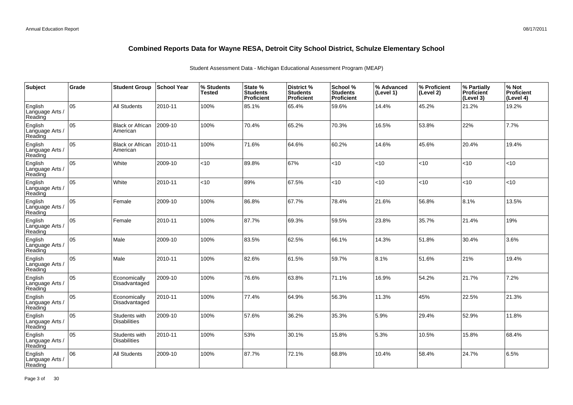| Subject                               | Grade | <b>Student Group</b>                 | School Year | % Students<br><b>Tested</b> | State %<br><b>Students</b><br>Proficient | District %<br><b>Students</b><br><b>Proficient</b> | School %<br><b>Students</b><br><b>Proficient</b> | % Advanced<br>(Level 1) | % Proficient<br>(Level 2) | % Partially<br>Proficient<br>(Level 3) | % Not<br>Proficient<br>(Level 4) |
|---------------------------------------|-------|--------------------------------------|-------------|-----------------------------|------------------------------------------|----------------------------------------------------|--------------------------------------------------|-------------------------|---------------------------|----------------------------------------|----------------------------------|
| English<br>Language Arts /<br>Reading | 05    | <b>All Students</b>                  | 2010-11     | 100%                        | 85.1%                                    | 65.4%                                              | 59.6%                                            | 14.4%                   | 45.2%                     | 21.2%                                  | 19.2%                            |
| English<br>Language Arts /<br>Reading | 05    | <b>Black or African</b><br>American  | 2009-10     | 100%                        | 70.4%                                    | 65.2%                                              | 70.3%                                            | 16.5%                   | 53.8%                     | 22%                                    | 7.7%                             |
| English<br>Language Arts /<br>Reading | 05    | <b>Black or African</b><br>American  | 2010-11     | 100%                        | 71.6%                                    | 64.6%                                              | 60.2%                                            | 14.6%                   | 45.6%                     | 20.4%                                  | 19.4%                            |
| English<br>Language Arts /<br>Reading | 05    | White                                | 2009-10     | <10                         | 89.8%                                    | 67%                                                | <10                                              | <10                     | $10^{-1}$                 | <10                                    | <10                              |
| English<br>Language Arts /<br>Reading | 05    | White                                | 2010-11     | $<$ 10                      | 89%                                      | 67.5%                                              | < 10                                             | <10                     | $<$ 10                    | < 10                                   | <10                              |
| English<br>Language Arts<br>Reading   | 05    | Female                               | 2009-10     | 100%                        | 86.8%                                    | 67.7%                                              | 78.4%                                            | 21.6%                   | 56.8%                     | 8.1%                                   | 13.5%                            |
| English<br>Language Arts<br>Reading   | 05    | Female                               | 2010-11     | 100%                        | 87.7%                                    | 69.3%                                              | 59.5%                                            | 23.8%                   | 35.7%                     | 21.4%                                  | 19%                              |
| English<br>Language Arts<br>Reading   | 05    | Male                                 | 2009-10     | 100%                        | 83.5%                                    | 62.5%                                              | 66.1%                                            | 14.3%                   | 51.8%                     | 30.4%                                  | 3.6%                             |
| English<br>Language Arts<br>Reading   | lo5   | Male                                 | 2010-11     | 100%                        | 82.6%                                    | 61.5%                                              | 59.7%                                            | 8.1%                    | 51.6%                     | 21%                                    | 19.4%                            |
| English<br>Language Arts<br>Reading   | 05    | Economically<br>Disadvantaged        | 2009-10     | 100%                        | 76.6%                                    | 63.8%                                              | 71.1%                                            | 16.9%                   | 54.2%                     | 21.7%                                  | 7.2%                             |
| English<br>Language Arts<br>Reading   | 05    | Economically<br>Disadvantaged        | 2010-11     | 100%                        | 77.4%                                    | 64.9%                                              | 56.3%                                            | 11.3%                   | 45%                       | 22.5%                                  | 21.3%                            |
| English<br>Language Arts<br>Reading   | 05    | Students with<br><b>Disabilities</b> | 2009-10     | 100%                        | 57.6%                                    | 36.2%                                              | 35.3%                                            | 5.9%                    | 29.4%                     | 52.9%                                  | 11.8%                            |
| English<br>Language Arts<br>Reading   | 05    | Students with<br><b>Disabilities</b> | 2010-11     | 100%                        | 53%                                      | 30.1%                                              | 15.8%                                            | 5.3%                    | 10.5%                     | 15.8%                                  | 68.4%                            |
| English<br>Language Arts<br>Reading   | 06    | All Students                         | 2009-10     | 100%                        | 87.7%                                    | 72.1%                                              | 68.8%                                            | 10.4%                   | 58.4%                     | 24.7%                                  | 6.5%                             |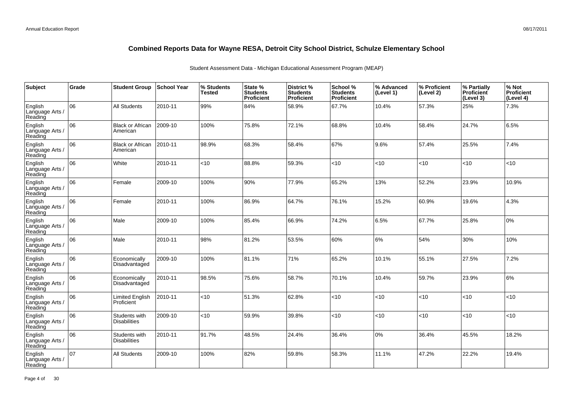| Subject                               | Grade | <b>Student Group</b>                 | School Year | % Students<br><b>Tested</b> | State %<br><b>Students</b><br>Proficient | District %<br><b>Students</b><br>Proficient | School %<br><b>Students</b><br><b>Proficient</b> | % Advanced<br>(Level 1) | % Proficient<br>(Level 2) | % Partially<br>Proficient<br>(Level 3) | % Not<br>Proficient<br>(Level 4) |
|---------------------------------------|-------|--------------------------------------|-------------|-----------------------------|------------------------------------------|---------------------------------------------|--------------------------------------------------|-------------------------|---------------------------|----------------------------------------|----------------------------------|
| English<br>Language Arts /<br>Reading | 06    | All Students                         | 2010-11     | 99%                         | 84%                                      | 58.9%                                       | 67.7%                                            | 10.4%                   | 57.3%                     | 25%                                    | 7.3%                             |
| English<br>Language Arts /<br>Reading | 06    | <b>Black or African</b><br>American  | 2009-10     | 100%                        | 75.8%                                    | 72.1%                                       | 68.8%                                            | 10.4%                   | 58.4%                     | 24.7%                                  | 6.5%                             |
| English<br>Language Arts /<br>Reading | 06    | <b>Black or African</b><br>American  | 2010-11     | 98.9%                       | 68.3%                                    | 58.4%                                       | 67%                                              | 9.6%                    | 57.4%                     | 25.5%                                  | 7.4%                             |
| English<br>Language Arts /<br>Reading | 06    | White                                | 2010-11     | $<$ 10                      | 88.8%                                    | 59.3%                                       | <10                                              | <10                     | <10                       | < 10                                   | <10                              |
| English<br>Language Arts /<br>Reading | 06    | Female                               | 2009-10     | 100%                        | 90%                                      | 77.9%                                       | 65.2%                                            | 13%                     | 52.2%                     | 23.9%                                  | 10.9%                            |
| English<br>Language Arts /<br>Reading | 06    | Female                               | 2010-11     | 100%                        | 86.9%                                    | 64.7%                                       | 76.1%                                            | 15.2%                   | 60.9%                     | 19.6%                                  | 4.3%                             |
| English<br>Language Arts /<br>Reading | 06    | Male                                 | 2009-10     | 100%                        | 85.4%                                    | 66.9%                                       | 74.2%                                            | 6.5%                    | 67.7%                     | 25.8%                                  | 0%                               |
| English<br>Language Arts<br>Reading   | 06    | Male                                 | 2010-11     | 98%                         | 81.2%                                    | 53.5%                                       | 60%                                              | 6%                      | 54%                       | 30%                                    | 10%                              |
| English<br>Language Arts<br>Reading   | 06    | Economically<br>Disadvantaged        | 2009-10     | 100%                        | 81.1%                                    | 71%                                         | 65.2%                                            | 10.1%                   | 55.1%                     | 27.5%                                  | 7.2%                             |
| English<br>Language Arts<br>Reading   | 06    | Economically<br>Disadvantaged        | 2010-11     | 98.5%                       | 75.6%                                    | 58.7%                                       | 70.1%                                            | 10.4%                   | 59.7%                     | 23.9%                                  | 6%                               |
| English<br>Language Arts<br>Reading   | 06    | <b>Limited English</b><br>Proficient | 2010-11     | $<$ 10                      | 51.3%                                    | 62.8%                                       | <10                                              | <10                     | <10                       | < 10                                   | <10                              |
| English<br>Language Arts<br>Reading   | 06    | Students with<br><b>Disabilities</b> | 2009-10     | <10                         | 59.9%                                    | 39.8%                                       | <10                                              | <10                     | <10                       | $ $ < 10                               | <10                              |
| English<br>Language Arts<br>Reading   | 06    | Students with<br><b>Disabilities</b> | 2010-11     | 91.7%                       | 48.5%                                    | 24.4%                                       | 36.4%                                            | $0\%$                   | 36.4%                     | 45.5%                                  | 18.2%                            |
| English<br>Language Arts<br>Reading   | 07    | <b>All Students</b>                  | 2009-10     | 100%                        | 82%                                      | 59.8%                                       | 58.3%                                            | 11.1%                   | 47.2%                     | 22.2%                                  | 19.4%                            |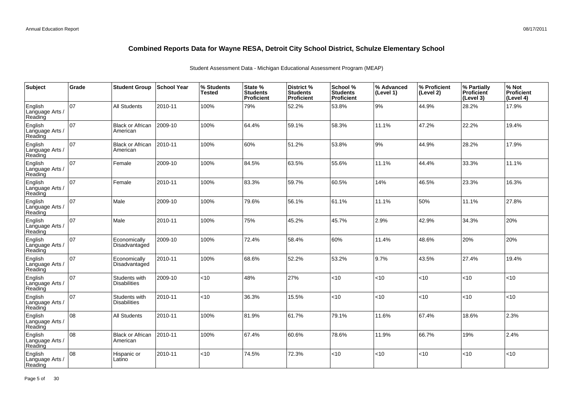| Subject                               | Grade | <b>Student Group</b>                 | School Year | % Students<br><b>Tested</b> | State %<br><b>Students</b><br>Proficient | District %<br><b>Students</b><br>Proficient | School %<br><b>Students</b><br><b>Proficient</b> | % Advanced<br>(Level 1) | % Proficient<br>(Level 2) | % Partially<br>Proficient<br>(Level 3) | % Not<br>Proficient<br>(Level 4) |
|---------------------------------------|-------|--------------------------------------|-------------|-----------------------------|------------------------------------------|---------------------------------------------|--------------------------------------------------|-------------------------|---------------------------|----------------------------------------|----------------------------------|
| English<br>Language Arts /<br>Reading | 07    | <b>All Students</b>                  | 2010-11     | 100%                        | 79%                                      | 52.2%                                       | 53.8%                                            | 9%                      | 44.9%                     | 28.2%                                  | 17.9%                            |
| English<br>Language Arts /<br>Reading | 07    | <b>Black or African</b><br>American  | 2009-10     | 100%                        | 64.4%                                    | 59.1%                                       | 58.3%                                            | 11.1%                   | 47.2%                     | 22.2%                                  | 19.4%                            |
| English<br>Language Arts /<br>Reading | 07    | <b>Black or African</b><br>American  | 2010-11     | 100%                        | 60%                                      | 51.2%                                       | 53.8%                                            | 9%                      | 44.9%                     | 28.2%                                  | 17.9%                            |
| English<br>Language Arts /<br>Reading | 07    | Female                               | 2009-10     | 100%                        | 84.5%                                    | 63.5%                                       | 55.6%                                            | 11.1%                   | 44.4%                     | 33.3%                                  | 11.1%                            |
| English<br>Language Arts /<br>Reading | 07    | Female                               | 2010-11     | 100%                        | 83.3%                                    | 59.7%                                       | 60.5%                                            | 14%                     | 46.5%                     | 23.3%                                  | 16.3%                            |
| English<br>Language Arts /<br>Reading | 07    | Male                                 | 2009-10     | 100%                        | 79.6%                                    | 56.1%                                       | 61.1%                                            | 11.1%                   | 50%                       | 11.1%                                  | 27.8%                            |
| English<br>Language Arts /<br>Reading | 07    | Male                                 | 2010-11     | 100%                        | 75%                                      | 45.2%                                       | 45.7%                                            | 2.9%                    | 42.9%                     | 34.3%                                  | 20%                              |
| English<br>Language Arts<br>Reading   | 07    | Economically<br>Disadvantaged        | 2009-10     | 100%                        | 72.4%                                    | 58.4%                                       | 60%                                              | 11.4%                   | 48.6%                     | 20%                                    | 20%                              |
| English<br>Language Arts<br>Reading   | 07    | Economically<br>Disadvantaged        | 2010-11     | 100%                        | 68.6%                                    | 52.2%                                       | 53.2%                                            | 9.7%                    | 43.5%                     | 27.4%                                  | 19.4%                            |
| English<br>Language Arts<br>Reading   | 07    | Students with<br><b>Disabilities</b> | 2009-10     | $<$ 10                      | 48%                                      | 27%                                         | < 10                                             | <10                     | <10                       | $ $ < 10                               | < 10                             |
| English<br>Language Arts<br>Reading   | 07    | Students with<br><b>Disabilities</b> | 2010-11     | $<$ 10                      | 36.3%                                    | 15.5%                                       | <10                                              | <10                     | <10                       | < 10                                   | <10                              |
| English<br>Language Arts<br>Reading   | 08    | <b>All Students</b>                  | 2010-11     | 100%                        | 81.9%                                    | 61.7%                                       | 79.1%                                            | 11.6%                   | 67.4%                     | 18.6%                                  | 2.3%                             |
| English<br>Language Arts<br>Reading   | 08    | <b>Black or African</b><br>American  | 2010-11     | 100%                        | 67.4%                                    | 60.6%                                       | 78.6%                                            | 11.9%                   | 66.7%                     | 19%                                    | 2.4%                             |
| English<br>Language Arts<br>Reading   | 08    | Hispanic or<br>Latino                | 2010-11     | $<$ 10                      | 74.5%                                    | 72.3%                                       | < 10                                             | <10                     | <10                       | < 10                                   | <10                              |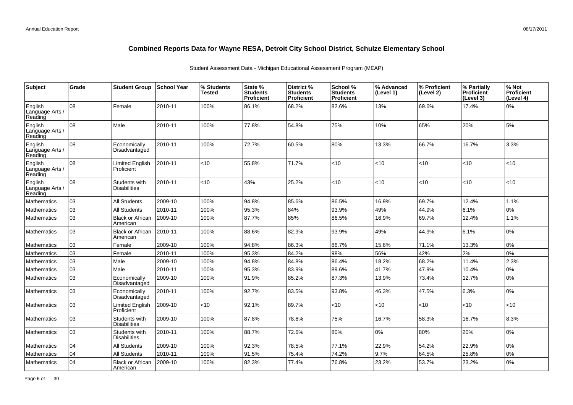| Subject                               | Grade | <b>Student Group</b>                 | School Year | % Students<br><b>Tested</b> | State %<br><b>Students</b><br><b>Proficient</b> | District %<br><b>Students</b><br><b>Proficient</b> | School %<br><b>Students</b><br><b>Proficient</b> | % Advanced<br>(Level 1) | % Proficient<br>(Level 2) | % Partially<br>Proficient<br>(Level 3) | % Not<br><b>Proficient</b><br>(Level 4) |
|---------------------------------------|-------|--------------------------------------|-------------|-----------------------------|-------------------------------------------------|----------------------------------------------------|--------------------------------------------------|-------------------------|---------------------------|----------------------------------------|-----------------------------------------|
| English<br>Language Arts /<br>Reading | lo8   | Female                               | 2010-11     | 100%                        | 86.1%                                           | 68.2%                                              | 82.6%                                            | 13%                     | 69.6%                     | 17.4%                                  | 0%                                      |
| English<br>Language Arts /<br>Reading | 08    | Male                                 | 2010-11     | 100%                        | 77.8%                                           | 54.8%                                              | 75%                                              | 10%                     | 65%                       | 20%                                    | 5%                                      |
| English<br>Language Arts /<br>Reading | lo8   | Economically<br>Disadvantaged        | 2010-11     | 100%                        | 72.7%                                           | 60.5%                                              | 80%                                              | 13.3%                   | 66.7%                     | 16.7%                                  | 3.3%                                    |
| English<br>Language Arts /<br>Reading | 08    | <b>Limited English</b><br>Proficient | 2010-11     | <10                         | 55.8%                                           | 71.7%                                              | <10                                              | <10                     | <10                       | <10                                    | <10                                     |
| English<br>Language Arts<br>Reading   | 08    | Students with<br><b>Disabilities</b> | 2010-11     | <10                         | 43%                                             | 25.2%                                              | < 10                                             | <10                     | <10                       | < 10                                   | <10                                     |
| Mathematics                           | 03    | <b>All Students</b>                  | 2009-10     | 100%                        | 94.8%                                           | 85.6%                                              | 86.5%                                            | 16.9%                   | 69.7%                     | 12.4%                                  | 1.1%                                    |
| Mathematics                           | 03    | <b>All Students</b>                  | 2010-11     | 100%                        | 95.3%                                           | 84%                                                | 93.9%                                            | 49%                     | 44.9%                     | 6.1%                                   | 0%                                      |
| Mathematics                           | 03    | <b>Black or African</b><br>American  | 2009-10     | 100%                        | 87.7%                                           | 85%                                                | 86.5%                                            | 16.9%                   | 69.7%                     | 12.4%                                  | 1.1%                                    |
| Mathematics                           | 03    | <b>Black or African</b><br>American  | 2010-11     | 100%                        | 88.6%                                           | 82.9%                                              | 93.9%                                            | 49%                     | 44.9%                     | 6.1%                                   | 0%                                      |
| Mathematics                           | 03    | Female                               | 2009-10     | 100%                        | 94.8%                                           | 86.3%                                              | 86.7%                                            | 15.6%                   | 71.1%                     | 13.3%                                  | 0%                                      |
| <b>Mathematics</b>                    | 03    | Female                               | 2010-11     | 100%                        | 95.3%                                           | 84.2%                                              | 98%                                              | 56%                     | 42%                       | 2%                                     | 0%                                      |
| Mathematics                           | 03    | Male                                 | 2009-10     | 100%                        | 94.8%                                           | 84.8%                                              | 86.4%                                            | 18.2%                   | 68.2%                     | 11.4%                                  | 2.3%                                    |
| Mathematics                           | 03    | Male                                 | 2010-11     | 100%                        | 95.3%                                           | 83.9%                                              | 89.6%                                            | 41.7%                   | 47.9%                     | 10.4%                                  | 0%                                      |
| <b>Mathematics</b>                    | 03    | Economically<br>Disadvantaged        | 2009-10     | 100%                        | 91.9%                                           | 85.2%                                              | 87.3%                                            | 13.9%                   | 73.4%                     | 12.7%                                  | 0%                                      |
| <b>Mathematics</b>                    | 03    | Economically<br>Disadvantaged        | 2010-11     | 100%                        | 92.7%                                           | 83.5%                                              | 93.8%                                            | 46.3%                   | 47.5%                     | 6.3%                                   | 0%                                      |
| Mathematics                           | 03    | <b>Limited English</b><br>Proficient | 2009-10     | <10                         | 92.1%                                           | 89.7%                                              | $<$ 10                                           | <10                     | <10                       | $<$ 10                                 | <10                                     |
| Mathematics                           | 03    | Students with<br><b>Disabilities</b> | 2009-10     | 100%                        | 87.8%                                           | 78.6%                                              | 75%                                              | 16.7%                   | 58.3%                     | 16.7%                                  | 8.3%                                    |
| Mathematics                           | 03    | Students with<br><b>Disabilities</b> | 2010-11     | 100%                        | 88.7%                                           | 72.6%                                              | 80%                                              | 0%                      | 80%                       | 20%                                    | 0%                                      |
| Mathematics                           | 04    | <b>All Students</b>                  | 2009-10     | 100%                        | 92.3%                                           | 78.5%                                              | 77.1%                                            | 22.9%                   | 54.2%                     | 22.9%                                  | 0%                                      |
| <b>Mathematics</b>                    | 04    | <b>All Students</b>                  | 2010-11     | 100%                        | 91.5%                                           | 75.4%                                              | 74.2%                                            | 9.7%                    | 64.5%                     | 25.8%                                  | 0%                                      |
| <b>Mathematics</b>                    | 04    | <b>Black or African</b><br>American  | 2009-10     | 100%                        | 82.3%                                           | 77.4%                                              | 76.8%                                            | 23.2%                   | 53.7%                     | 23.2%                                  | 0%                                      |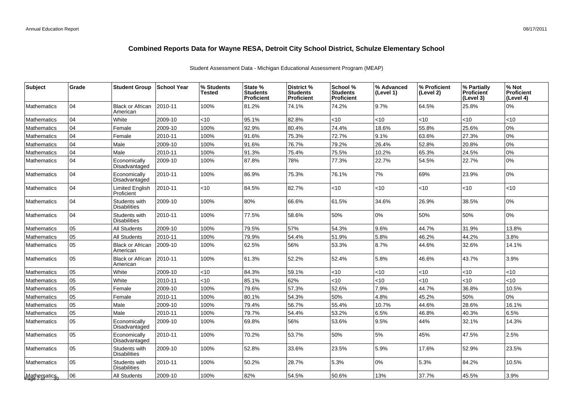| <b>Subject</b>     | Grade | <b>Student Group</b>                 | <b>School Year</b> | % Students<br><b>Tested</b> | State %<br><b>Students</b><br><b>Proficient</b> | District %<br><b>Students</b><br><b>Proficient</b> | School %<br><b>Students</b><br>Proficient | % Advanced<br>(Level 1) | % Proficient<br>(Level 2) | % Partially<br><b>Proficient</b><br>(Level 3) | % Not<br><b>Proficient</b><br>(Level 4) |
|--------------------|-------|--------------------------------------|--------------------|-----------------------------|-------------------------------------------------|----------------------------------------------------|-------------------------------------------|-------------------------|---------------------------|-----------------------------------------------|-----------------------------------------|
| <b>Mathematics</b> | 04    | <b>Black or African</b><br>American  | 2010-11            | 100%                        | 81.2%                                           | 74.1%                                              | 74.2%                                     | 9.7%                    | 64.5%                     | 25.8%                                         | $0\%$                                   |
| <b>Mathematics</b> | 04    | White                                | 2009-10            | <10                         | 95.1%                                           | 82.8%                                              | <10                                       | <10                     | <10                       | <10                                           | <10                                     |
| Mathematics        | 04    | Female                               | 2009-10            | 100%                        | 92.9%                                           | 80.4%                                              | 74.4%                                     | 18.6%                   | 55.8%                     | 25.6%                                         | 0%                                      |
| Mathematics        | 04    | Female                               | 2010-11            | 100%                        | 91.6%                                           | 75.3%                                              | 72.7%                                     | 9.1%                    | 63.6%                     | 27.3%                                         | 0%                                      |
| <b>Mathematics</b> | 04    | Male                                 | 2009-10            | 100%                        | 91.6%                                           | 76.7%                                              | 79.2%                                     | 26.4%                   | 52.8%                     | 20.8%                                         | 0%                                      |
| Mathematics        | 04    | Male                                 | 2010-11            | 100%                        | 91.3%                                           | 75.4%                                              | 75.5%                                     | 10.2%                   | 65.3%                     | 24.5%                                         | 0%                                      |
| Mathematics        | 04    | Economically<br>Disadvantaged        | 2009-10            | 100%                        | 87.8%                                           | 78%                                                | 77.3%                                     | 22.7%                   | 54.5%                     | 22.7%                                         | 0%                                      |
| <b>Mathematics</b> | 04    | Economically<br>Disadvantaged        | 2010-11            | 100%                        | 86.9%                                           | 75.3%                                              | 76.1%                                     | 7%                      | 69%                       | 23.9%                                         | 0%                                      |
| <b>Mathematics</b> | 04    | <b>Limited English</b><br>Proficient | 2010-11            | < 10                        | 84.5%                                           | 82.7%                                              | $<$ 10                                    | < 10                    | <10                       | < 10                                          | <10                                     |
| <b>Mathematics</b> | 104   | Students with<br>Disabilities        | 2009-10            | 100%                        | 80%                                             | 66.6%                                              | 61.5%                                     | 34.6%                   | 26.9%                     | 38.5%                                         | 0%                                      |
| <b>Mathematics</b> | 04    | Students with<br><b>Disabilities</b> | 2010-11            | 100%                        | 77.5%                                           | 58.6%                                              | 50%                                       | $0\%$                   | 50%                       | 50%                                           | 0%                                      |
| <b>Mathematics</b> | 05    | <b>All Students</b>                  | 2009-10            | 100%                        | 79.5%                                           | 57%                                                | 54.3%                                     | 9.6%                    | 44.7%                     | 31.9%                                         | 13.8%                                   |
| <b>Mathematics</b> | 05    | <b>All Students</b>                  | 2010-11            | 100%                        | 79.9%                                           | 54.4%                                              | 51.9%                                     | 5.8%                    | 46.2%                     | 44.2%                                         | 3.8%                                    |
| <b>Mathematics</b> | 05    | <b>Black or African</b><br>American  | 2009-10            | 100%                        | 62.5%                                           | 56%                                                | 53.3%                                     | 8.7%                    | 44.6%                     | 32.6%                                         | 14.1%                                   |
| <b>Mathematics</b> | 05    | <b>Black or African</b><br>American  | 2010-11            | 100%                        | 61.3%                                           | 52.2%                                              | 52.4%                                     | 5.8%                    | 46.6%                     | 43.7%                                         | 3.9%                                    |
| Mathematics        | 05    | White                                | 2009-10            | < 10                        | 84.3%                                           | 59.1%                                              | $<$ 10                                    | < 10                    | <10                       | $<$ 10                                        | <10                                     |
| <b>Mathematics</b> | 05    | White                                | 2010-11            | <10                         | 85.1%                                           | 62%                                                | $<$ 10                                    | <10                     | <10                       | <10                                           | <10                                     |
| Mathematics        | 05    | Female                               | 2009-10            | 100%                        | 79.6%                                           | 57.3%                                              | 52.6%                                     | 7.9%                    | 44.7%                     | 36.8%                                         | 10.5%                                   |
| Mathematics        | 05    | Female                               | 2010-11            | 100%                        | 80.1%                                           | 54.3%                                              | 50%                                       | 4.8%                    | 45.2%                     | 50%                                           | 0%                                      |
| Mathematics        | 05    | Male                                 | 2009-10            | 100%                        | 79.4%                                           | 56.7%                                              | 55.4%                                     | 10.7%                   | 44.6%                     | 28.6%                                         | 16.1%                                   |
| <b>Mathematics</b> | 05    | Male                                 | 2010-11            | 100%                        | 79.7%                                           | 54.4%                                              | 53.2%                                     | 6.5%                    | 46.8%                     | 40.3%                                         | 6.5%                                    |
| <b>Mathematics</b> | 05    | Economically<br>Disadvantaged        | 2009-10            | 100%                        | 69.8%                                           | 56%                                                | 53.6%                                     | 9.5%                    | 44%                       | 32.1%                                         | 14.3%                                   |
| <b>Mathematics</b> | 05    | Economically<br>Disadvantaged        | 2010-11            | 100%                        | 70.2%                                           | 53.7%                                              | 50%                                       | 5%                      | 45%                       | 47.5%                                         | 2.5%                                    |
| Mathematics        | 05    | Students with<br><b>Disabilities</b> | 2009-10            | 100%                        | 52.8%                                           | 33.6%                                              | 23.5%                                     | 5.9%                    | 17.6%                     | 52.9%                                         | 23.5%                                   |
| <b>Mathematics</b> | 05    | Students with<br><b>Disabilities</b> | 2010-11            | 100%                        | 50.2%                                           | 28.7%                                              | 5.3%                                      | 0%                      | 5.3%                      | 84.2%                                         | 10.5%                                   |
| Mathematicso       | 06    | <b>All Students</b>                  | 2009-10            | 100%                        | 82%                                             | 54.5%                                              | 50.6%                                     | 13%                     | 37.7%                     | 45.5%                                         | 3.9%                                    |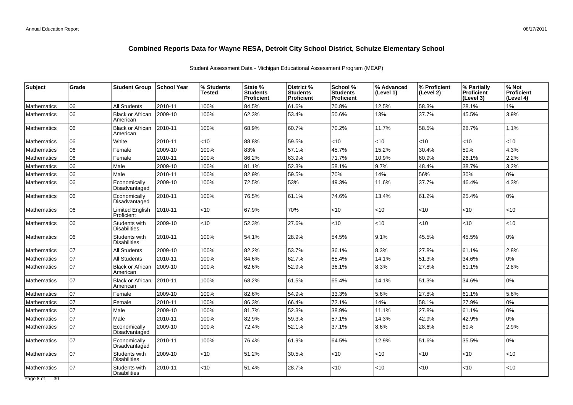| Subject            | Grade | <b>Student Group</b>                 | <b>School Year</b> | % Students<br>Tested | State %<br><b>Students</b><br><b>Proficient</b> | District %<br><b>Students</b><br><b>Proficient</b> | School %<br><b>Students</b><br><b>Proficient</b> | % Advanced<br>(Level 1) | % Proficient<br>(Level 2) | % Partially<br><b>Proficient</b><br>(Level 3) | % Not<br><b>Proficient</b><br>(Level 4) |
|--------------------|-------|--------------------------------------|--------------------|----------------------|-------------------------------------------------|----------------------------------------------------|--------------------------------------------------|-------------------------|---------------------------|-----------------------------------------------|-----------------------------------------|
| <b>Mathematics</b> | 06    | <b>All Students</b>                  | 2010-11            | 100%                 | 84.5%                                           | 61.6%                                              | 70.8%                                            | 12.5%                   | 58.3%                     | 28.1%                                         | $1\%$                                   |
| <b>Mathematics</b> | 06    | <b>Black or African</b><br>American  | 2009-10            | 100%                 | 62.3%                                           | 53.4%                                              | 50.6%                                            | 13%                     | 37.7%                     | 45.5%                                         | 3.9%                                    |
| <b>Mathematics</b> | 06    | <b>Black or African</b><br>American  | 2010-11            | 100%                 | 68.9%                                           | 60.7%                                              | 70.2%                                            | 11.7%                   | 58.5%                     | 28.7%                                         | 1.1%                                    |
| <b>Mathematics</b> | 06    | White                                | 2010-11            | <10                  | 88.8%                                           | 59.5%                                              | $<$ 10                                           | <10                     | <10                       | $<$ 10                                        | <10                                     |
| <b>Mathematics</b> | 06    | Female                               | 2009-10            | 100%                 | 83%                                             | 57.1%                                              | 45.7%                                            | 15.2%                   | 30.4%                     | 50%                                           | 4.3%                                    |
| Mathematics        | 06    | Female                               | 2010-11            | 100%                 | 86.2%                                           | 63.9%                                              | 71.7%                                            | 10.9%                   | 60.9%                     | 26.1%                                         | 2.2%                                    |
| Mathematics        | 06    | Male                                 | 2009-10            | 100%                 | 81.1%                                           | 52.3%                                              | 58.1%                                            | 9.7%                    | 48.4%                     | 38.7%                                         | 3.2%                                    |
| <b>Mathematics</b> | 06    | Male                                 | 2010-11            | 100%                 | 82.9%                                           | 59.5%                                              | 70%                                              | 14%                     | 56%                       | 30%                                           | 0%                                      |
| <b>Mathematics</b> | 06    | Economically<br>Disadvantaged        | 2009-10            | 100%                 | 72.5%                                           | 53%                                                | 49.3%                                            | 11.6%                   | 37.7%                     | 46.4%                                         | 4.3%                                    |
| <b>Mathematics</b> | 06    | Economically<br>Disadvantaged        | 2010-11            | 100%                 | 76.5%                                           | 61.1%                                              | 74.6%                                            | 13.4%                   | 61.2%                     | 25.4%                                         | 0%                                      |
| <b>Mathematics</b> | 06    | <b>Limited English</b><br>Proficient | 2010-11            | $<$ 10               | 67.9%                                           | 70%                                                | <10                                              | $<$ 10                  | <10                       | $<$ 10                                        | <10                                     |
| <b>Mathematics</b> | 06    | Students with<br><b>Disabilities</b> | 2009-10            | $<$ 10               | 52.3%                                           | 27.6%                                              | $<$ 10                                           | < 10                    | $<$ 10                    | ~10                                           | <10                                     |
| <b>Mathematics</b> | 06    | Students with<br><b>Disabilities</b> | 2010-11            | 100%                 | 54.1%                                           | 28.9%                                              | 54.5%                                            | 9.1%                    | 45.5%                     | 45.5%                                         | 0%                                      |
| <b>Mathematics</b> | 07    | <b>All Students</b>                  | 2009-10            | 100%                 | 82.2%                                           | 53.7%                                              | 36.1%                                            | 8.3%                    | 27.8%                     | 61.1%                                         | 2.8%                                    |
| <b>Mathematics</b> | 07    | <b>All Students</b>                  | 2010-11            | 100%                 | 84.6%                                           | 62.7%                                              | 65.4%                                            | 14.1%                   | 51.3%                     | 34.6%                                         | 0%                                      |
| <b>Mathematics</b> | 07    | <b>Black or African</b><br>American  | 2009-10            | 100%                 | 62.6%                                           | 52.9%                                              | 36.1%                                            | 8.3%                    | 27.8%                     | 61.1%                                         | 2.8%                                    |
| <b>Mathematics</b> | 07    | <b>Black or African</b><br>American  | 2010-11            | 100%                 | 68.2%                                           | 61.5%                                              | 65.4%                                            | 14.1%                   | 51.3%                     | 34.6%                                         | 0%                                      |
| <b>Mathematics</b> | 07    | Female                               | 2009-10            | 100%                 | 82.6%                                           | 54.9%                                              | 33.3%                                            | 5.6%                    | 27.8%                     | 61.1%                                         | 5.6%                                    |
| <b>Mathematics</b> | 07    | Female                               | 2010-11            | 100%                 | 86.3%                                           | 66.4%                                              | 72.1%                                            | 14%                     | 58.1%                     | 27.9%                                         | 0%                                      |
| <b>Mathematics</b> | 07    | Male                                 | 2009-10            | 100%                 | 81.7%                                           | 52.3%                                              | 38.9%                                            | 11.1%                   | 27.8%                     | 61.1%                                         | 0%                                      |
| <b>Mathematics</b> | 07    | Male                                 | 2010-11            | 100%                 | 82.9%                                           | 59.3%                                              | 57.1%                                            | 14.3%                   | 42.9%                     | 42.9%                                         | 0%                                      |
| <b>Mathematics</b> | 07    | Economically<br>Disadvantaged        | 2009-10            | 100%                 | 72.4%                                           | 52.1%                                              | 37.1%                                            | 8.6%                    | 28.6%                     | 60%                                           | 2.9%                                    |
| <b>Mathematics</b> | 07    | Economically<br>Disadvantaged        | 2010-11            | 100%                 | 76.4%                                           | 61.9%                                              | 64.5%                                            | 12.9%                   | 51.6%                     | 35.5%                                         | 0%                                      |
| <b>Mathematics</b> | 07    | Students with<br><b>Disabilities</b> | 2009-10            | <10                  | 51.2%                                           | 30.5%                                              | <10                                              | $<$ 10                  | $<$ 10                    | <10                                           | $<$ 10                                  |
| Mathematics        | 07    | Students with<br><b>Disabilities</b> | 2010-11            | <10                  | 51.4%                                           | 28.7%                                              | <10                                              | $<$ 10                  | $<$ 10                    | <10                                           | $<$ 10                                  |
| Page 8 of 30       |       |                                      |                    |                      |                                                 |                                                    |                                                  |                         |                           |                                               |                                         |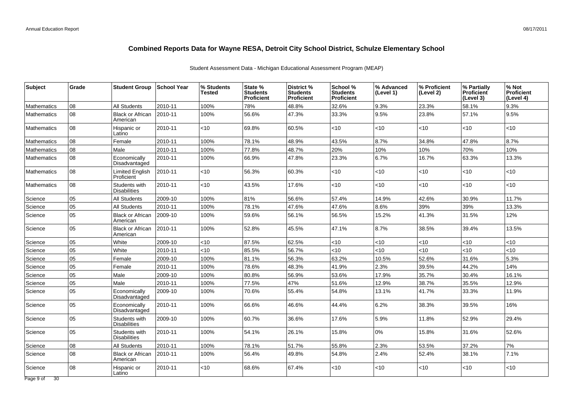| <b>Subject</b>               | Grade | <b>Student Group</b>                 | School Year | % Students<br>Tested | State %<br><b>Students</b><br>Proficient | District %<br><b>Students</b><br>Proficient | School %<br><b>Students</b><br><b>Proficient</b> | % Advanced<br>(Level 1) | % Proficient<br>(Level 2) | % Partially<br><b>Proficient</b><br>(Level 3) | % Not<br>Proficient<br>(Level 4) |
|------------------------------|-------|--------------------------------------|-------------|----------------------|------------------------------------------|---------------------------------------------|--------------------------------------------------|-------------------------|---------------------------|-----------------------------------------------|----------------------------------|
| <b>Mathematics</b>           | 08    | <b>All Students</b>                  | 2010-11     | 100%                 | 78%                                      | 48.8%                                       | 32.6%                                            | 9.3%                    | 23.3%                     | 58.1%                                         | 9.3%                             |
| <b>Mathematics</b>           | 08    | <b>Black or African</b><br>American  | 2010-11     | 100%                 | 56.6%                                    | 47.3%                                       | 33.3%                                            | 9.5%                    | 23.8%                     | 57.1%                                         | 9.5%                             |
| <b>Mathematics</b>           | 08    | Hispanic or<br>Latino                | 2010-11     | <10                  | 69.8%                                    | 60.5%                                       | $<$ 10                                           | $<$ 10                  | $<$ 10                    | < 10                                          | <10                              |
| <b>Mathematics</b>           | 08    | Female                               | 2010-11     | 100%                 | 78.1%                                    | 48.9%                                       | 43.5%                                            | 8.7%                    | 34.8%                     | 47.8%                                         | 8.7%                             |
| <b>Mathematics</b>           | 08    | Male                                 | 2010-11     | 100%                 | 77.8%                                    | 48.7%                                       | 20%                                              | 10%                     | 10%                       | 70%                                           | 10%                              |
| <b>Mathematics</b>           | 08    | Economically<br>Disadvantaged        | 2010-11     | 100%                 | 66.9%                                    | 47.8%                                       | 23.3%                                            | 6.7%                    | 16.7%                     | 63.3%                                         | 13.3%                            |
| <b>Mathematics</b>           | 08    | <b>Limited English</b><br>Proficient | 2010-11     | <10                  | 56.3%                                    | 60.3%                                       | <10                                              | $<10$                   | <10                       | <10                                           | <10                              |
| <b>Mathematics</b>           | 08    | Students with<br><b>Disabilities</b> | 2010-11     | $<$ 10               | 43.5%                                    | 17.6%                                       | <10                                              | $<$ 10                  | <10                       | $<$ 10                                        | <10                              |
| Science                      | 05    | <b>All Students</b>                  | 2009-10     | 100%                 | 81%                                      | 56.6%                                       | 57.4%                                            | 14.9%                   | 42.6%                     | 30.9%                                         | 11.7%                            |
| Science                      | 05    | <b>All Students</b>                  | 2010-11     | 100%                 | 78.1%                                    | 47.6%                                       | 47.6%                                            | 8.6%                    | 39%                       | 39%                                           | 13.3%                            |
| Science                      | 05    | <b>Black or African</b><br>American  | 2009-10     | 100%                 | 59.6%                                    | 56.1%                                       | 56.5%                                            | 15.2%                   | 41.3%                     | 31.5%                                         | 12%                              |
| Science                      | 05    | <b>Black or African</b><br>American  | 2010-11     | 100%                 | 52.8%                                    | 45.5%                                       | 47.1%                                            | 8.7%                    | 38.5%                     | 39.4%                                         | 13.5%                            |
| Science                      | 05    | White                                | 2009-10     | <10                  | 87.5%                                    | 62.5%                                       | <10                                              | $<10$                   | $<$ 10                    | <10                                           | <10                              |
| Science                      | 05    | White                                | 2010-11     | <10                  | 85.5%                                    | 56.7%                                       | $<$ 10                                           | <10                     | < 10                      | <10                                           | <10                              |
| Science                      | 05    | Female                               | 2009-10     | 100%                 | 81.1%                                    | 56.3%                                       | 63.2%                                            | 10.5%                   | 52.6%                     | 31.6%                                         | 5.3%                             |
| Science                      | 05    | Female                               | 2010-11     | 100%                 | 78.6%                                    | 48.3%                                       | 41.9%                                            | 2.3%                    | 39.5%                     | 44.2%                                         | 14%                              |
| Science                      | 05    | Male                                 | 2009-10     | 100%                 | 80.8%                                    | 56.9%                                       | 53.6%                                            | 17.9%                   | 35.7%                     | 30.4%                                         | 16.1%                            |
| Science                      | 05    | Male                                 | 2010-11     | 100%                 | 77.5%                                    | 47%                                         | 51.6%                                            | 12.9%                   | 38.7%                     | 35.5%                                         | 12.9%                            |
| Science                      | 05    | Economically<br>Disadvantaged        | 2009-10     | 100%                 | 70.6%                                    | 55.4%                                       | 54.8%                                            | 13.1%                   | 41.7%                     | 33.3%                                         | 11.9%                            |
| Science                      | 05    | Economically<br>Disadvantaged        | 2010-11     | 100%                 | 66.6%                                    | 46.6%                                       | 44.4%                                            | 6.2%                    | 38.3%                     | 39.5%                                         | 16%                              |
| Science                      | 05    | Students with<br><b>Disabilities</b> | 2009-10     | 100%                 | 60.7%                                    | 36.6%                                       | 17.6%                                            | 5.9%                    | 11.8%                     | 52.9%                                         | 29.4%                            |
| Science                      | 05    | Students with<br><b>Disabilities</b> | 2010-11     | 100%                 | 54.1%                                    | 26.1%                                       | 15.8%                                            | $0\%$                   | 15.8%                     | 31.6%                                         | 52.6%                            |
| Science                      | 08    | <b>All Students</b>                  | 2010-11     | 100%                 | 78.1%                                    | 51.7%                                       | 55.8%                                            | 2.3%                    | 53.5%                     | 37.2%                                         | 7%                               |
| Science                      | 08    | <b>Black or African</b><br>American  | 2010-11     | 100%                 | 56.4%                                    | 49.8%                                       | 54.8%                                            | 2.4%                    | 52.4%                     | 38.1%                                         | 7.1%                             |
| Science                      | 08    | Hispanic or<br>Latino                | 2010-11     | <10                  | 68.6%                                    | 67.4%                                       | $<$ 10                                           | $<$ 10                  | $<$ 10                    | ~10                                           | <10                              |
| $\overline{30}$<br>Page 9 of |       |                                      |             |                      |                                          |                                             |                                                  |                         |                           |                                               |                                  |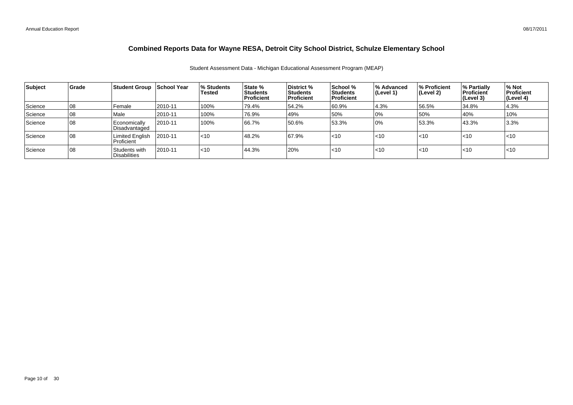| Subject | <b>Grade</b> | Student Group School Year            |         | ∣% Students<br><b>Tested</b> | State %<br>Students<br>Proficient | <b>District</b> %<br>Students<br><b>Proficient</b> | School %<br><b>Students</b><br>Proficient | % Advanced<br>(Level 1) | <b>1% Proficient</b><br>(Level 2) | % Partially<br>Proficient<br>(Level 3) | % Not<br>Proficient<br> (Level 4) |
|---------|--------------|--------------------------------------|---------|------------------------------|-----------------------------------|----------------------------------------------------|-------------------------------------------|-------------------------|-----------------------------------|----------------------------------------|-----------------------------------|
| Science | 08           | Female                               | 2010-11 | 100%                         | 79.4%                             | 54.2%                                              | 60.9%                                     | 4.3%                    | 56.5%                             | 34.8%                                  | 4.3%                              |
| Science | 108          | Male                                 | 2010-11 | 100%                         | 76.9%                             | 49%                                                | 50%                                       | 0%                      | 50%                               | 40%                                    | 10%                               |
| Science | 108          | <b>Economically</b><br>Disadvantaged | 2010-11 | 100%                         | 66.7%                             | 50.6%                                              | 53.3%                                     | 10%                     | 53.3%                             | 43.3%                                  | 3.3%                              |
| Science | 108          | <b>Limited English</b><br>Proficient | 2010-11 | $ $ < 10                     | 48.2%                             | 67.9%                                              | $<$ 10                                    | $<$ 10                  | $ $ < 10                          | $\leq 10$                              | $ $ < 10                          |
| Science | 08           | Students with<br><b>Disabilities</b> | 2010-11 | $ $ < 10                     | 44.3%                             | 20%                                                | $ $ < 10                                  | $\sim$ 10               | $\leq 10$                         | $\leq 10$                              | $ $ < 10                          |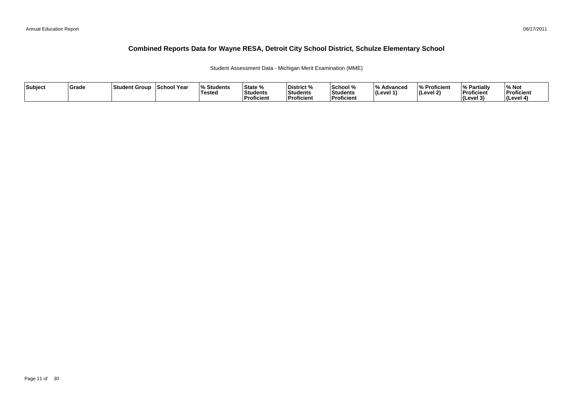Student Assessment Data - Michigan Merit Examination (MME)

| Subject | Grade | Student Group | <b>School Year</b> | <b>Students</b><br>Tested | State %<br>Students<br>Proficient | District %<br>Students<br><b>Proficient</b> | School %<br>Students<br>Proficient | $\overline{0}$<br>Advancec<br>$ $ (Level 1) | % Proficient<br> (Level 2) | % Partially<br>Proficient<br><b>I</b> Cevel 3<br>. . | ∕∘ Not<br>Proficient<br>(Level 4) |
|---------|-------|---------------|--------------------|---------------------------|-----------------------------------|---------------------------------------------|------------------------------------|---------------------------------------------|----------------------------|------------------------------------------------------|-----------------------------------|
|---------|-------|---------------|--------------------|---------------------------|-----------------------------------|---------------------------------------------|------------------------------------|---------------------------------------------|----------------------------|------------------------------------------------------|-----------------------------------|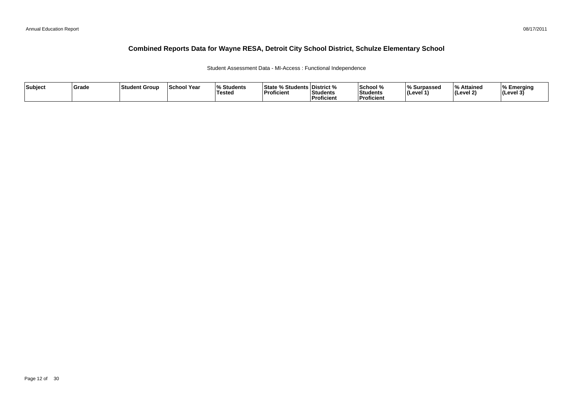Student Assessment Data - MI-Access : Functional Independence

| Subject | <b>Srade</b> | l Studen<br>t Group | <b>School Year</b> | $\mathbf{O}$<br><b>Students</b><br><b>Testeo</b> | % Students   District %<br>⊺State %<br>Proficient | Students<br>Proficient | <b>School</b> %<br>Students<br>Proficien. | % Surpassec<br>⊺(Level ′ | ە ا<br>% Attained<br>'(Level 2) | % Emerging<br>$ $ (Level 3) |
|---------|--------------|---------------------|--------------------|--------------------------------------------------|---------------------------------------------------|------------------------|-------------------------------------------|--------------------------|---------------------------------|-----------------------------|
|---------|--------------|---------------------|--------------------|--------------------------------------------------|---------------------------------------------------|------------------------|-------------------------------------------|--------------------------|---------------------------------|-----------------------------|

08/17/2011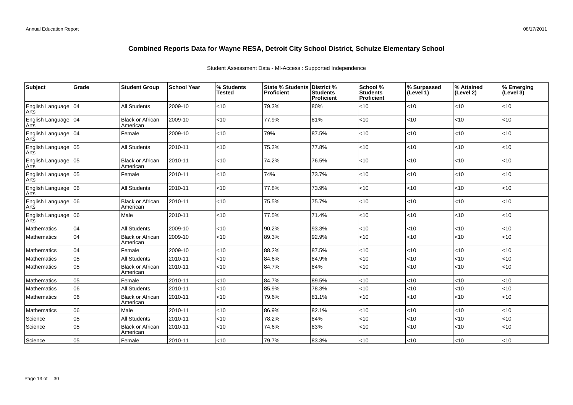#### Student Assessment Data - MI-Access : Supported Independence

| Subject                            | Grade | <b>Student Group</b>                | <b>School Year</b> | % Students<br><b>Tested</b> | State % Students   District %<br>Proficient | <b>Students</b><br>Proficient | School %<br><b>Students</b><br><b>Proficient</b> | % Surpassed<br>(Level 1) | % Attained<br>(Level 2) | % Emerging<br>(Level 3) |
|------------------------------------|-------|-------------------------------------|--------------------|-----------------------------|---------------------------------------------|-------------------------------|--------------------------------------------------|--------------------------|-------------------------|-------------------------|
| English Language 04<br>Arts        |       | <b>All Students</b>                 | 2009-10            | <10                         | 79.3%                                       | 80%                           | <10                                              | $<$ 10                   | <10                     | $<$ 10                  |
| English Language 04<br>Arts        |       | <b>Black or African</b><br>American | 2009-10            | < 10                        | 77.9%                                       | 81%                           | <10                                              | $<$ 10                   | <10                     | <10                     |
| English Language 04<br>Arts        |       | Female                              | 2009-10            | <10                         | 79%                                         | 87.5%                         | <10                                              | $<$ 10                   | <10                     | <10                     |
| English Language 05<br>Arts        |       | All Students                        | 2010-11            | <10                         | 75.2%                                       | 77.8%                         | <10                                              | $<$ 10                   | <10                     | $<$ 10                  |
| English Language 05<br><b>Arts</b> |       | <b>Black or African</b><br>American | 2010-11            | <10                         | 74.2%                                       | 76.5%                         | <10                                              | <10                      | <10                     | < 10                    |
| English Language 05<br>Arts        |       | Female                              | 2010-11            | <10                         | 74%                                         | 73.7%                         | <10                                              | $<$ 10                   | <10                     | <10                     |
| English Language 06<br>Arts        |       | <b>All Students</b>                 | 2010-11            | $<$ 10                      | 77.8%                                       | 73.9%                         | <10                                              | $<$ 10                   | <10                     | $<$ 10                  |
| English Language 06<br>Arts        |       | <b>Black or African</b><br>American | 2010-11            | <10                         | 75.5%                                       | 75.7%                         | <10                                              | <10                      | <10                     | <10                     |
| English Language 06<br>Arts        |       | Male                                | 2010-11            | < 10                        | 77.5%                                       | 71.4%                         | <10                                              | $<$ 10                   | <10                     | <10                     |
| <b>Mathematics</b>                 | 04    | <b>All Students</b>                 | 2009-10            | $<$ 10                      | 90.2%                                       | 93.3%                         | $<$ 10                                           | < 10                     | <10                     | < 10                    |
| Mathematics                        | 04    | <b>Black or African</b><br>American | 2009-10            | <10                         | 89.3%                                       | 92.9%                         | <10                                              | <10                      | <10                     | <10                     |
| Mathematics                        | 04    | Female                              | 2009-10            | <10                         | 88.2%                                       | 87.5%                         | <10                                              | <10                      | <10                     | <10                     |
| Mathematics                        | 05    | <b>All Students</b>                 | 2010-11            | < 10                        | 84.6%                                       | 84.9%                         | <10                                              | <10                      | <10                     | < 10                    |
| Mathematics                        | 05    | <b>Black or African</b><br>American | 2010-11            | <10                         | 84.7%                                       | 84%                           | <10                                              | <10                      | <10                     | < 10                    |
| Mathematics                        | 05    | Female                              | 2010-11            | <10                         | 84.7%                                       | 89.5%                         | <10                                              | $<10$                    | <10                     | < 10                    |
| Mathematics                        | 06    | <b>All Students</b>                 | 2010-11            | $<$ 10                      | 85.9%                                       | 78.3%                         | $<$ 10                                           | $<10$                    | <10                     | $<10$                   |
| Mathematics                        | 06    | <b>Black or African</b><br>American | 2010-11            | <10                         | 79.6%                                       | 81.1%                         | <10                                              | $<10$                    | <10                     | < 10                    |
| Mathematics                        | 06    | Male                                | 2010-11            | $<$ 10                      | 86.9%                                       | 82.1%                         | <10                                              | $<$ 10                   | <10                     | < 10                    |
| Science                            | 05    | <b>All Students</b>                 | 2010-11            | <10                         | 78.2%                                       | 84%                           | <10                                              | <10                      | <10                     | <10                     |
| Science                            | 05    | <b>Black or African</b><br>American | 2010-11            | <10                         | 74.6%                                       | 83%                           | <10                                              | < 10                     | <10                     | < 10                    |
| Science                            | 05    | Female                              | 2010-11            | <10                         | 79.7%                                       | 83.3%                         | <10                                              | $<10$                    | <10                     | $ $ < 10                |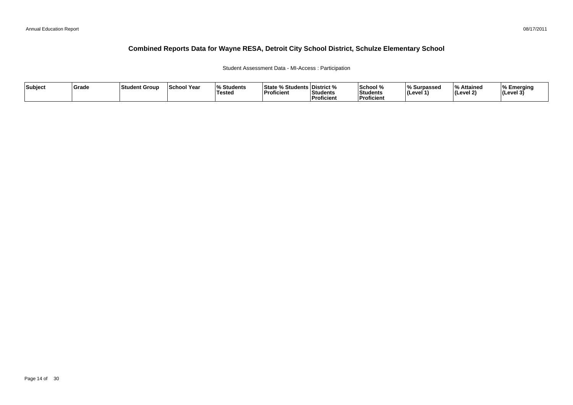### Student Assessment Data - MI-Access : Participation

| Subject | Grade | ∣Student Group | <b>School Year</b> | 07.<br>Students<br>Tested | <sup>৹⁄</sup> Students ∟<br><b>State</b><br>'Proficient | <b>District</b> %<br>Students<br><sup>'</sup> Proficient | School %<br>Students<br>--<br>Proficient | ∧ Surpassed<br>⊺(Level ′ | ہ Attained<br>Level 2) | % Emerging<br>$ $ (Level 3) |
|---------|-------|----------------|--------------------|---------------------------|---------------------------------------------------------|----------------------------------------------------------|------------------------------------------|--------------------------|------------------------|-----------------------------|
|---------|-------|----------------|--------------------|---------------------------|---------------------------------------------------------|----------------------------------------------------------|------------------------------------------|--------------------------|------------------------|-----------------------------|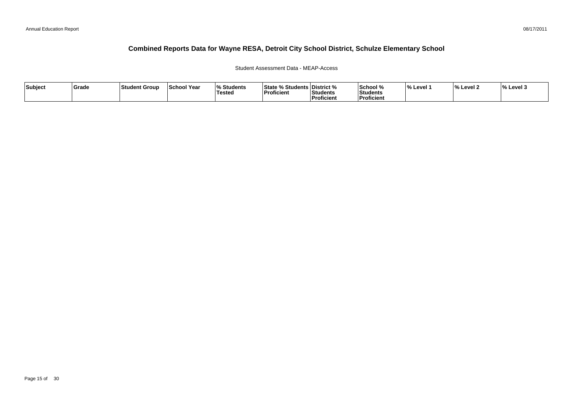### Student Assessment Data - MEAP-Access

| Subject | ∣Grade | ∣Student Group | <b>School Year</b> | <b>Students</b><br>Testea | <b>State % Students District %</b><br> Proficient | <b>Students</b><br>. | <b>School</b> %<br>Students<br>Proficient | <b>Level</b> | $^{\circ}$<br>Level 2 | $\frac{1}{6}$ Level 3 |
|---------|--------|----------------|--------------------|---------------------------|---------------------------------------------------|----------------------|-------------------------------------------|--------------|-----------------------|-----------------------|
|         |        |                |                    |                           |                                                   | Proficient           |                                           |              |                       |                       |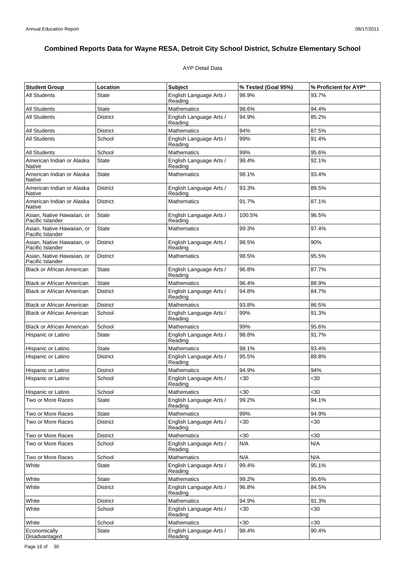### AYP Detail Data

| <b>Student Group</b>                           | Location        | <b>Subject</b>                     | % Tested (Goal 95%) | % Proficient for AYP* |
|------------------------------------------------|-----------------|------------------------------------|---------------------|-----------------------|
| <b>All Students</b>                            | State           | English Language Arts /<br>Reading | 98.9%               | 93.7%                 |
| All Students                                   | <b>State</b>    | <b>Mathematics</b>                 | 98.6%               | 94.4%                 |
| All Students                                   | <b>District</b> | English Language Arts /<br>Reading | 94.9%               | 85.2%                 |
| All Students                                   | District        | <b>Mathematics</b>                 | 94%                 | 87.5%                 |
| All Students                                   | School          | English Language Arts /<br>Reading | 99%                 | 91.4%                 |
| <b>All Students</b>                            | School          | Mathematics                        | 99%                 | 95.6%                 |
| American Indian or Alaska<br>Native            | State           | English Language Arts /<br>Reading | 98.4%               | 92.1%                 |
| American Indian or Alaska<br>Native            | <b>State</b>    | <b>Mathematics</b>                 | 98.1%               | 93.4%                 |
| American Indian or Alaska<br>Native            | <b>District</b> | English Language Arts /<br>Reading | 93.3%               | 89.5%                 |
| American Indian or Alaska<br>Native            | <b>District</b> | Mathematics                        | 91.7%               | 87.1%                 |
| Asian, Native Hawaiian, or<br>Pacific Islander | State           | English Language Arts /<br>Reading | 100.5%              | 96.5%                 |
| Asian, Native Hawaiian, or<br>Pacific Islander | State           | <b>Mathematics</b>                 | 99.3%               | 97.4%                 |
| Asian, Native Hawaiian, or<br>Pacific Islander | <b>District</b> | English Language Arts /<br>Reading | 98.5%               | 90%                   |
| Asian. Native Hawaiian, or<br>Pacific Islander | <b>District</b> | <b>Mathematics</b>                 | 98.5%               | 95.5%                 |
| <b>Black or African American</b>               | State           | English Language Arts /<br>Reading | 96.8%               | 87.7%                 |
| <b>Black or African American</b>               | <b>State</b>    | <b>Mathematics</b>                 | 96.4%               | 88.9%                 |
| <b>Black or African American</b>               | <b>District</b> | English Language Arts /<br>Reading | 94.8%               | 84.7%                 |
| <b>Black or African American</b>               | <b>District</b> | <b>Mathematics</b>                 | 93.8%               | 86.5%                 |
| <b>Black or African American</b>               | School          | English Language Arts /<br>Reading | 99%                 | 91.3%                 |
| <b>Black or African American</b>               | School          | <b>Mathematics</b>                 | 99%                 | 95.6%                 |
| Hispanic or Latino                             | State           | English Language Arts /<br>Reading | 98.8%               | 91.7%                 |
| Hispanic or Latino                             | State           | <b>Mathematics</b>                 | 98.1%               | 93.4%                 |
| Hispanic or Latino                             | District        | English Language Arts /<br>Reading | 95.5%               | 88.8%                 |
| Hispanic or Latino                             | District        | <b>Mathematics</b>                 | 94.9%               | 94%                   |
| Hispanic or Latino                             | School          | English Language Arts /<br>Reading | $30$                | $30$                  |
| Hispanic or Latino                             | School          | Mathematics                        | $30$                | <30                   |
| Two or More Races                              | State           | English Language Arts /<br>Reading | 99.2%               | 94.1%                 |
| Two or More Races                              | State           | Mathematics                        | 99%                 | 94.9%                 |
| Two or More Races                              | <b>District</b> | English Language Arts /<br>Reading | $30$                | <30                   |
| Two or More Races                              | District        | <b>Mathematics</b>                 | <30                 | <30                   |
| Two or More Races                              | School          | English Language Arts /<br>Reading | N/A                 | N/A                   |
| Two or More Races                              | School          | <b>Mathematics</b>                 | N/A                 | N/A                   |
| White                                          | <b>State</b>    | English Language Arts /<br>Reading | 99.4%               | 95.1%                 |
| White                                          | <b>State</b>    | <b>Mathematics</b>                 | 99.2%               | 95.6%                 |
| White                                          | District        | English Language Arts /<br>Reading | 96.8%               | 84.5%                 |
| White                                          | District        | <b>Mathematics</b>                 | 94.9%               | 91.3%                 |
| White                                          | School          | English Language Arts /<br>Reading | $30$                | $30$                  |
| White                                          | School          | Mathematics                        | $30$                | <30                   |
| Economically<br>Disadvantaged                  | State           | English Language Arts /<br>Reading | 98.4%               | 90.4%                 |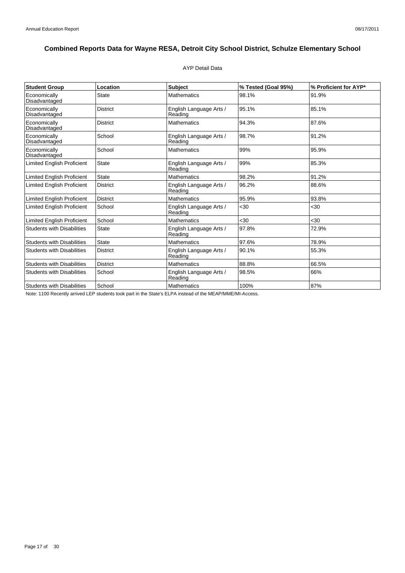### AYP Detail Data

| <b>Student Group</b>              | Location        | <b>Subject</b>                     | % Tested (Goal 95%) | % Proficient for AYP* |
|-----------------------------------|-----------------|------------------------------------|---------------------|-----------------------|
| Economically<br>Disadvantaged     | <b>State</b>    | <b>Mathematics</b>                 | 98.1%               | 91.9%                 |
| Economically<br>Disadvantaged     | <b>District</b> | English Language Arts /<br>Reading | 95.1%               | 85.1%                 |
| Economically<br>Disadvantaged     | <b>District</b> | <b>Mathematics</b>                 | 94.3%               | 87.6%                 |
| Economically<br>Disadvantaged     | School          | English Language Arts /<br>Reading | 98.7%               | 91.2%                 |
| Economically<br>Disadvantaged     | School          | <b>Mathematics</b>                 | 99%                 | 95.9%                 |
| <b>Limited English Proficient</b> | <b>State</b>    | English Language Arts /<br>Reading | 99%                 | 85.3%                 |
| <b>Limited English Proficient</b> | <b>State</b>    | <b>Mathematics</b>                 | 98.2%               | 91.2%                 |
| <b>Limited English Proficient</b> | <b>District</b> | English Language Arts /<br>Reading | 96.2%               | 88.6%                 |
| <b>Limited English Proficient</b> | <b>District</b> | <b>Mathematics</b>                 | 95.9%               | 93.8%                 |
| <b>Limited English Proficient</b> | School          | English Language Arts /<br>Reading | $30$                | $30$                  |
| <b>Limited English Proficient</b> | School          | <b>Mathematics</b>                 | $30$                | $30$                  |
| <b>Students with Disabilities</b> | <b>State</b>    | English Language Arts /<br>Reading | 97.8%               | 72.9%                 |
| <b>Students with Disabilities</b> | <b>State</b>    | <b>Mathematics</b>                 | 97.6%               | 78.9%                 |
| <b>Students with Disabilities</b> | <b>District</b> | English Language Arts /<br>Reading | 90.1%               | 55.3%                 |
| <b>Students with Disabilities</b> | <b>District</b> | <b>Mathematics</b>                 | 88.8%               | 66.5%                 |
| <b>Students with Disabilities</b> | School          | English Language Arts /<br>Reading | 98.5%               | 66%                   |
| <b>Students with Disabilities</b> | School          | <b>Mathematics</b>                 | 100%                | 87%                   |

Note: 1100 Recently arrived LEP students took part in the State's ELPA instead of the MEAP/MME/MI-Access.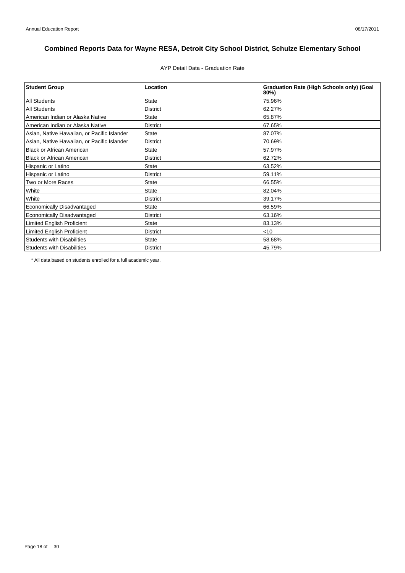AYP Detail Data - Graduation Rate

| <b>Student Group</b>                        | Location        | <b>Graduation Rate (High Schools only) (Goal</b><br>80%) |
|---------------------------------------------|-----------------|----------------------------------------------------------|
| <b>All Students</b>                         | <b>State</b>    | 75.96%                                                   |
| <b>All Students</b>                         | <b>District</b> | 62.27%                                                   |
| American Indian or Alaska Native            | <b>State</b>    | 65.87%                                                   |
| American Indian or Alaska Native            | <b>District</b> | 67.65%                                                   |
| Asian, Native Hawaiian, or Pacific Islander | <b>State</b>    | 87.07%                                                   |
| Asian, Native Hawaiian, or Pacific Islander | <b>District</b> | 70.69%                                                   |
| <b>Black or African American</b>            | <b>State</b>    | 57.97%                                                   |
| <b>Black or African American</b>            | <b>District</b> | 62.72%                                                   |
| Hispanic or Latino                          | <b>State</b>    | 63.52%                                                   |
| Hispanic or Latino                          | <b>District</b> | 59.11%                                                   |
| Two or More Races                           | <b>State</b>    | 66.55%                                                   |
| White                                       | <b>State</b>    | 82.04%                                                   |
| White                                       | <b>District</b> | 39.17%                                                   |
| <b>Economically Disadvantaged</b>           | <b>State</b>    | 66.59%                                                   |
| Economically Disadvantaged                  | <b>District</b> | 63.16%                                                   |
| <b>Limited English Proficient</b>           | <b>State</b>    | 83.13%                                                   |
| <b>Limited English Proficient</b>           | <b>District</b> | $<$ 10                                                   |
| <b>Students with Disabilities</b>           | <b>State</b>    | 58.68%                                                   |
| <b>Students with Disabilities</b>           | <b>District</b> | 45.79%                                                   |

\* All data based on students enrolled for a full academic year.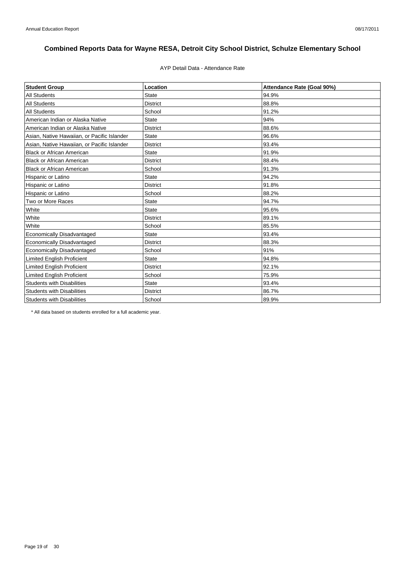### AYP Detail Data - Attendance Rate

| <b>Student Group</b>                        | Location        | Attendance Rate (Goal 90%) |
|---------------------------------------------|-----------------|----------------------------|
| <b>All Students</b>                         | <b>State</b>    | 94.9%                      |
| <b>All Students</b>                         | <b>District</b> | 88.8%                      |
| <b>All Students</b>                         | School          | 91.2%                      |
| American Indian or Alaska Native            | <b>State</b>    | 94%                        |
| American Indian or Alaska Native            | <b>District</b> | 88.6%                      |
| Asian, Native Hawaiian, or Pacific Islander | <b>State</b>    | 96.6%                      |
| Asian, Native Hawaiian, or Pacific Islander | <b>District</b> | 93.4%                      |
| <b>Black or African American</b>            | <b>State</b>    | 91.9%                      |
| <b>Black or African American</b>            | <b>District</b> | 88.4%                      |
| <b>Black or African American</b>            | School          | 91.3%                      |
| Hispanic or Latino                          | <b>State</b>    | 94.2%                      |
| Hispanic or Latino                          | <b>District</b> | 91.8%                      |
| Hispanic or Latino                          | School          | 88.2%                      |
| Two or More Races                           | <b>State</b>    | 94.7%                      |
| White                                       | <b>State</b>    | 95.6%                      |
| White                                       | <b>District</b> | 89.1%                      |
| White                                       | School          | 85.5%                      |
| <b>Economically Disadvantaged</b>           | <b>State</b>    | 93.4%                      |
| Economically Disadvantaged                  | <b>District</b> | 88.3%                      |
| <b>Economically Disadvantaged</b>           | School          | 91%                        |
| <b>Limited English Proficient</b>           | <b>State</b>    | 94.8%                      |
| <b>Limited English Proficient</b>           | <b>District</b> | 92.1%                      |
| <b>Limited English Proficient</b>           | School          | 75.9%                      |
| <b>Students with Disabilities</b>           | <b>State</b>    | 93.4%                      |
| <b>Students with Disabilities</b>           | <b>District</b> | 86.7%                      |
| <b>Students with Disabilities</b>           | School          | 89.9%                      |

\* All data based on students enrolled for a full academic year.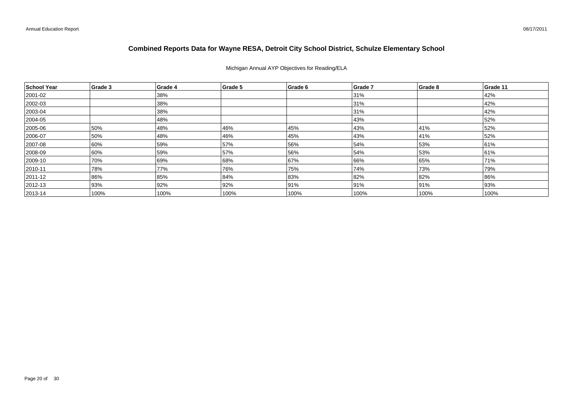Michigan Annual AYP Objectives for Reading/ELA

| School Year   | Grade 3 | Grade 4 | Grade 5 | Grade 6 | Grade 7 | Grade 8 | Grade 11 |
|---------------|---------|---------|---------|---------|---------|---------|----------|
| 2001-02       |         | 38%     |         |         | 31%     |         | 42%      |
| 2002-03       |         | 38%     |         |         | 31%     |         | 42%      |
| 2003-04       |         | 38%     |         |         | 31%     |         | 42%      |
| 2004-05       |         | 48%     |         |         | 43%     |         | 52%      |
| 2005-06       | 50%     | 48%     | 46%     | 45%     | 43%     | 41%     | 52%      |
| 2006-07       | 50%     | 48%     | 46%     | 45%     | 43%     | 41%     | 52%      |
| 2007-08       | 60%     | 59%     | 57%     | 56%     | 54%     | 53%     | 61%      |
| 2008-09       | 60%     | 59%     | 57%     | 56%     | 54%     | 53%     | 61%      |
| 2009-10       | 70%     | 69%     | 68%     | 67%     | 66%     | 65%     | 71%      |
| $ 2010 - 11$  | 78%     | 77%     | 76%     | 75%     | 74%     | 73%     | 79%      |
| $ 2011 - 12 $ | 86%     | 85%     | 84%     | 83%     | 82%     | 82%     | 86%      |
| $ 2012 - 13 $ | 93%     | 92%     | 92%     | 91%     | 91%     | 91%     | 93%      |
| $ 2013 - 14 $ | 100%    | 100%    | 100%    | 100%    | 100%    | 100%    | 100%     |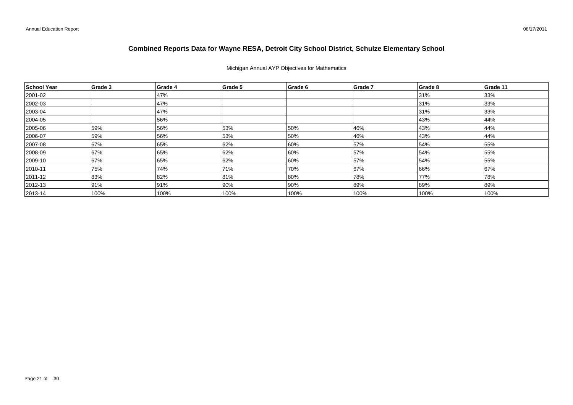### Michigan Annual AYP Objectives for Mathematics

| School Year  | Grade 3 | Grade 4 | Grade 5 | Grade 6 | Grade 7 | Grade 8 | Grade 11 |
|--------------|---------|---------|---------|---------|---------|---------|----------|
| 2001-02      |         | 47%     |         |         |         | 31%     | 33%      |
| 2002-03      |         | 47%     |         |         |         | 31%     | 33%      |
| $ 2003 - 04$ |         | 47%     |         |         |         | 31%     | 33%      |
| 2004-05      |         | 56%     |         |         |         | 43%     | 44%      |
| 2005-06      | 59%     | 56%     | 53%     | 50%     | 46%     | 43%     | 44%      |
| 2006-07      | 59%     | 56%     | 53%     | 50%     | 46%     | 43%     | 44%      |
| 2007-08      | 67%     | 65%     | 62%     | 60%     | 57%     | 54%     | 55%      |
| 2008-09      | 67%     | 65%     | 62%     | 60%     | 57%     | 54%     | 55%      |
| 2009-10      | 67%     | 65%     | 62%     | 60%     | 57%     | 54%     | 55%      |
| $ 2010 - 11$ | 75%     | 74%     | 71%     | 70%     | 67%     | 66%     | 67%      |
| 2011-12      | 83%     | 82%     | 81%     | 80%     | 78%     | 77%     | 78%      |
| $ 2012 - 13$ | 91%     | 91%     | 90%     | 90%     | 89%     | 89%     | 89%      |
| $ 2013 - 14$ | 100%    | 100%    | 100%    | 100%    | 100%    | 100%    | 100%     |

08/17/2011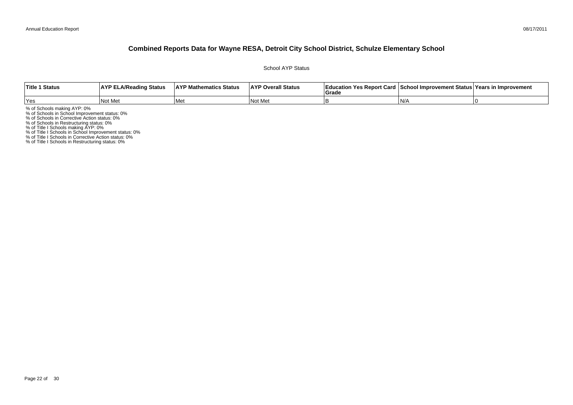School AYP Status

| <b>Title 1 Status</b> | <b>AYP ELA/Reading Status</b> | <b>AYP Mathematics Status</b> | <b>AYP Overall Status</b> | Education Yes Report Card   School Improvement Status   Years in Improvement<br>Grad |     |  |
|-----------------------|-------------------------------|-------------------------------|---------------------------|--------------------------------------------------------------------------------------|-----|--|
| Yes                   | Not Met                       | Met                           | l Not<br>: Me             |                                                                                      | IN/ |  |

% of Schools making AYP: 0%<br>% of Schools in School Improvement status: 0%<br>% of Schools in Corrective Action status: 0%<br>% of Schools in Restructuring status: 0%<br>% of Title I Schools in School Improvement status: 0%<br>% of Tit

% of Title I Schools in Restructuring status: 0%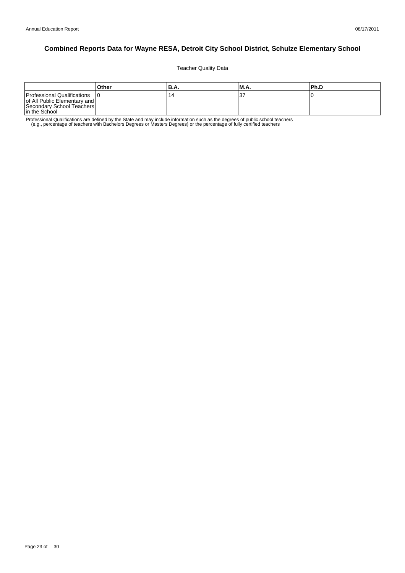Teacher Quality Data

|                                                                                                             | Other | 'B.A. | <b>M.A.</b> | lPh.D |
|-------------------------------------------------------------------------------------------------------------|-------|-------|-------------|-------|
| Professional Qualifications<br>of All Public Elementary and  <br>Secondary School Teachers<br>In the School |       | 14    |             |       |

Professional Qualifications are defined by the State and may include information such as the degrees of public school teachers<br>e.g., percentage of teachers with Bachelors Degrees or Masters Degrees) or the percentage of fu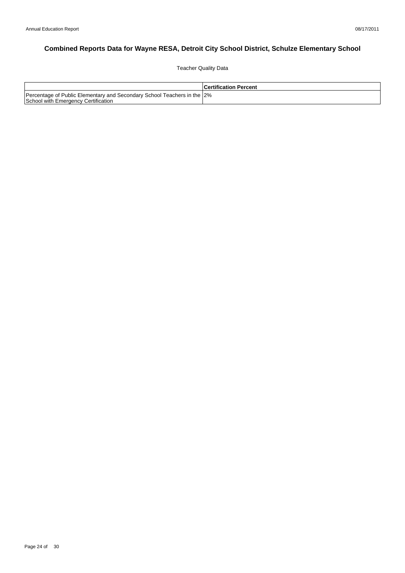Teacher Quality Data

|                                                                                                                | <b>Certification Percent</b> |
|----------------------------------------------------------------------------------------------------------------|------------------------------|
| Percentage of Public Elementary and Secondary School Teachers in the 2%<br>School with Emergency Certification |                              |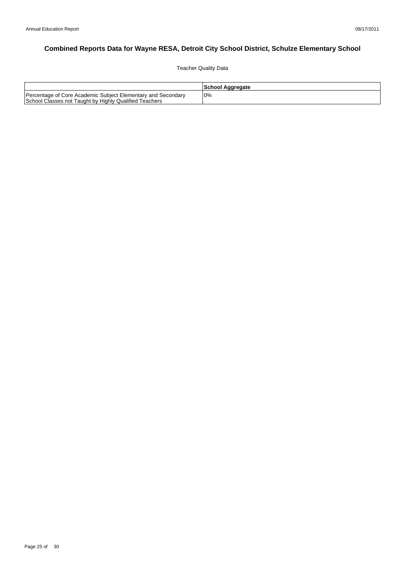Teacher Quality Data

|                                                                                                                        | School Aggregate |
|------------------------------------------------------------------------------------------------------------------------|------------------|
| Percentage of Core Academic Subject Elementary and Secondary<br>School Classes not Taught by Highly Qualified Teachers | 0%               |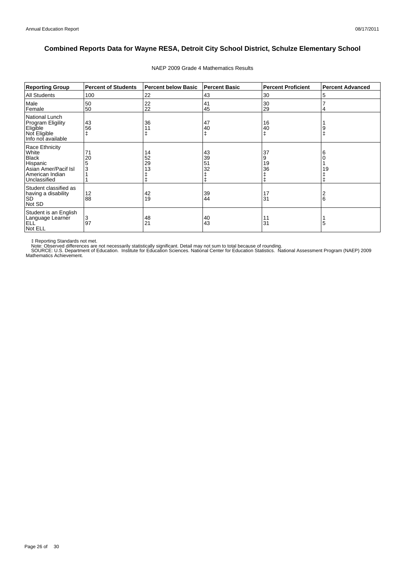| <b>Reporting Group</b>                                                                                         | <b>Percent of Students</b> | <b>Percent below Basic</b> | <b>Percent Basic</b> | <b>Percent Proficient</b> | <b>Percent Advanced</b> |
|----------------------------------------------------------------------------------------------------------------|----------------------------|----------------------------|----------------------|---------------------------|-------------------------|
| <b>All Students</b>                                                                                            | 100                        | 22                         | 43                   | 30                        | 5                       |
| Male<br>Female                                                                                                 | 50<br>50                   | 22<br>22                   | 41<br>45             | 30<br>29                  |                         |
| National Lunch<br>Program Eligility<br>Eligible<br>Not Eligible<br>Info not available                          | 43<br>56                   | 36<br>11                   | 47<br>40<br>ŧ        | 16<br>40                  |                         |
| Race Ethnicity<br>White<br><b>Black</b><br>Hispanic<br>Asian Amer/Pacif Isl<br>American Indian<br>Unclassified | 71<br>20<br>3              | 14<br>52<br>29<br>13       | 43<br>39<br>51<br>32 | 37<br>9<br>19<br>36       | 19                      |
| Student classified as<br>having a disability<br><b>SD</b><br>Not SD                                            | 12<br>88                   | 42<br>19                   | 39<br>44             | 17<br>31                  | 6                       |
| Student is an English<br>Language Learner<br><b>ELL</b><br>Not ELL                                             | 3<br>97                    | 48<br>21                   | 40<br>43             | 11<br>31                  | 5                       |

#### NAEP 2009 Grade 4 Mathematics Results

‡ Reporting Standards not met.<br>Note: Observed differences are not necessarily statistically significant. Detail may not sum to total because of rounding.<br>SOURCE: U.S. Department of Education. Institute for Education Scien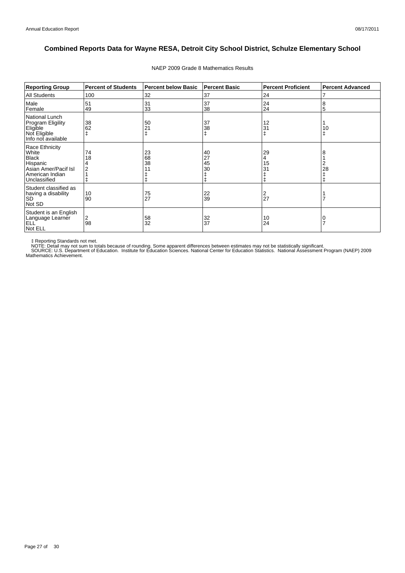| <b>Reporting Group</b>                                                                                         | <b>Percent of Students</b> | <b>Percent below Basic</b> | <b>Percent Basic</b> | <b>Percent Proficient</b> | <b>Percent Advanced</b> |
|----------------------------------------------------------------------------------------------------------------|----------------------------|----------------------------|----------------------|---------------------------|-------------------------|
| <b>All Students</b>                                                                                            | 100                        | 32                         | 37                   | 24                        |                         |
| Male<br>Female                                                                                                 | 51<br>49                   | 31<br>33                   | 37<br>38             | 24<br>24                  | 8<br>5                  |
| National Lunch<br><b>Program Eligility</b><br>Eligible<br>Not Eligible<br>Info not available                   | 38<br>62                   | 50<br>21                   | 37<br>38<br>ŧ        | 12<br>31                  | 10                      |
| Race Ethnicity<br>White<br><b>Black</b><br>Hispanic<br>Asian Amer/Pacif Isl<br>American Indian<br>Unclassified | 74<br>18                   | 23<br>68<br>38             | 40<br>27<br>45<br>30 | 29<br>4<br>15<br>31       | 28                      |
| Student classified as<br>having a disability<br><b>SD</b><br>Not SD                                            | 10<br>90                   | 75<br>27                   | 22<br>39             | 2<br>27                   |                         |
| Student is an English<br>Language Learner<br><b>ELL</b><br>Not ELL                                             | 2<br>98                    | 58<br>32                   | 32<br>37             | 10<br>24                  |                         |

#### NAEP 2009 Grade 8 Mathematics Results

‡ Reporting Standards not met.<br>NOTE: Detail may not sum to totals because of rounding. Some apparent differences between estimates may not be statistically significant.<br>NOTE: Detail may not sum to totals because of roundin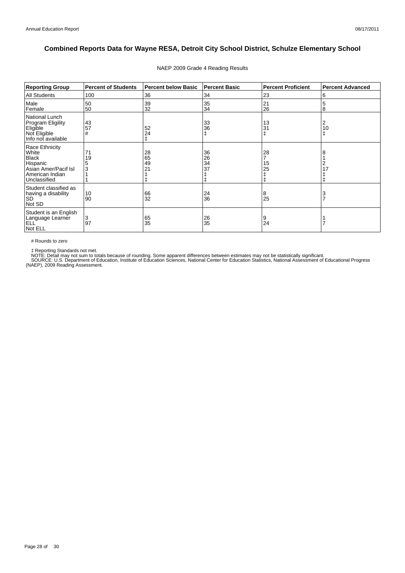| <b>Reporting Group</b>                                                                                         | <b>Percent of Students</b> | <b>Percent below Basic</b> | <b>Percent Basic</b> | <b>Percent Proficient</b> | <b>Percent Advanced</b> |
|----------------------------------------------------------------------------------------------------------------|----------------------------|----------------------------|----------------------|---------------------------|-------------------------|
| <b>All Students</b>                                                                                            | 100                        | 36                         | 34                   | 23                        | 6                       |
| Male<br>Female                                                                                                 | 50<br>50                   | 39<br>32                   | 35<br>34             | 21<br>26                  | 5<br>8                  |
| <b>National Lunch</b><br>Program Eligility<br>Eligible<br>Not Eligible<br>Info not available                   | 43<br>57<br>#              | 52<br>24                   | 33<br>36<br>ŧ        | 13<br>31                  | 2<br>10<br>ŧ            |
| Race Ethnicity<br>White<br><b>Black</b><br>Hispanic<br>Asian Amer/Pacif Isl<br>American Indian<br>Unclassified | 19                         | 28<br>65<br>49<br>21       | 36<br>26<br>34<br>37 | 28<br>15<br>25            |                         |
| Student classified as<br>having a disability<br><b>SD</b><br>Not SD                                            | 10<br>90                   | 66<br>32                   | 24<br>36             | 8<br>25                   |                         |
| Student is an English<br>Language Learner<br><b>ELL</b><br>Not ELL                                             | 3<br>97                    | 65<br>35                   | 26<br>35             | 9<br>24                   |                         |

#### NAEP 2009 Grade 4 Reading Results

# Rounds to zero

‡ Reporting Standards not met.<br>NOTE: Detail may not sum to totals because of rounding. Some apparent differences between estimates may not be statistically significant.<br>SOURCE: U.S. Department of Education, Institute of Ed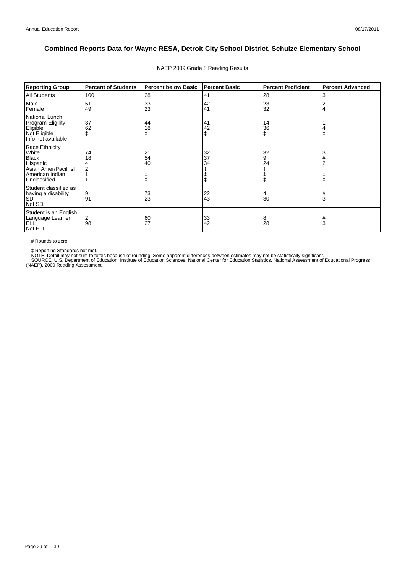| <b>Reporting Group</b>                                                                                         | <b>Percent of Students</b> | <b>Percent below Basic</b> | <b>Percent Basic</b> | <b>Percent Proficient</b> | <b>Percent Advanced</b> |
|----------------------------------------------------------------------------------------------------------------|----------------------------|----------------------------|----------------------|---------------------------|-------------------------|
| <b>All Students</b>                                                                                            | 100                        | 28                         | 41                   | 28                        | 3                       |
| Male<br>Female                                                                                                 | 51<br>49                   | 33<br>23                   | 42<br>41             | 23<br>32                  |                         |
| National Lunch<br>Program Eligility<br>Eligible<br>Not Eligible<br>Info not available                          | 37<br>62                   | 44<br>18                   | 41<br>42<br>ŧ        | 14<br>36                  |                         |
| Race Ethnicity<br>White<br><b>Black</b><br>Hispanic<br>Asian Amer/Pacif Isl<br>American Indian<br>Unclassified | 74<br>18                   | 21<br>54<br>40             | 32<br>37<br>34       | 32<br>9<br>24             | 3                       |
| Student classified as<br>having a disability<br><b>SD</b><br>Not SD                                            | 9<br>91                    | 73<br>23                   | 22<br>43             | 4<br>30                   | #<br>3                  |
| Student is an English<br>Language Learner<br><b>ELL</b><br>Not ELL                                             | 2<br>98                    | 60<br>27                   | 33<br>42             | 8<br>28                   | #<br>3                  |

#### NAEP 2009 Grade 8 Reading Results

# Rounds to zero

‡ Reporting Standards not met.<br>NOTE: Detail may not sum to totals because of rounding. Some apparent differences between estimates may not be statistically significant.<br>SOURCE: U.S. Department of Education, Institute of Ed